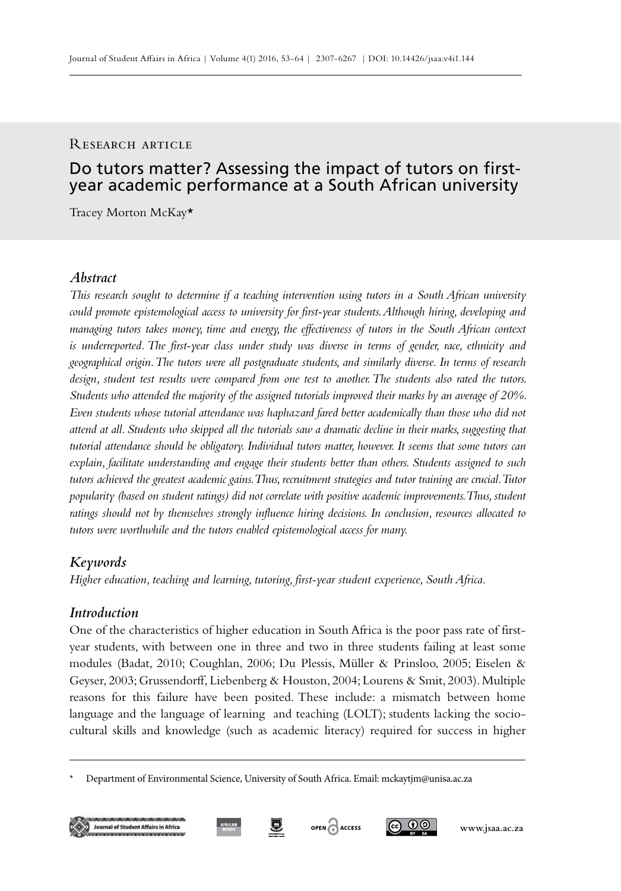#### RESEARCH ARTICLE

# Do tutors matter? Assessing the impact of tutors on firstyear academic performance at a South African university

Tracey Morton McKay\*

## *Abstract*

*This research sought to determine if a teaching intervention using tutors in a South African university could promote epistemological access to university for first-year students. Although hiring, developing and managing tutors takes money, time and energy, the effectiveness of tutors in the South African context is underreported. The first-year class under study was diverse in terms of gender, race, ethnicity and geographical origin. The tutors were all postgraduate students, and similarly diverse. In terms of research design, student test results were compared from one test to another. The students also rated the tutors. Students who attended the majority of the assigned tutorials improved their marks by an average of 20%. Even students whose tutorial attendance was haphazard fared better academically than those who did not attend at all. Students who skipped all the tutorials saw a dramatic decline in their marks, suggesting that tutorial attendance should be obligatory. Individual tutors matter, however. It seems that some tutors can explain, facilitate understanding and engage their students better than others. Students assigned to such tutors achieved the greatest academic gains. Thus, recruitment strategies and tutor training are crucial. Tutor popularity (based on student ratings) did not correlate with positive academic improvements. Thus, student ratings should not by themselves strongly influence hiring decisions. In conclusion, resources allocated to tutors were worthwhile and the tutors enabled epistemological access for many.*

## *Keywords*

*Higher education, teaching and learning, tutoring, first-year student experience, South Africa.*

## *Introduction*

One of the characteristics of higher education in South Africa is the poor pass rate of firstyear students, with between one in three and two in three students failing at least some modules (Badat, 2010; Coughlan, 2006; Du Plessis, Müller & Prinsloo, 2005; Eiselen & Geyser, 2003; Grussendorff, Liebenberg & Houston, 2004; Lourens & Smit, 2003). Multiple reasons for this failure have been posited. These include: a mismatch between home language and the language of learning and teaching (LOLT); students lacking the sociocultural skills and knowledge (such as academic literacy) required for success in higher





ெ 00

Department of Environmental Science, University of South Africa. Email: mckaytjm@unisa.ac.za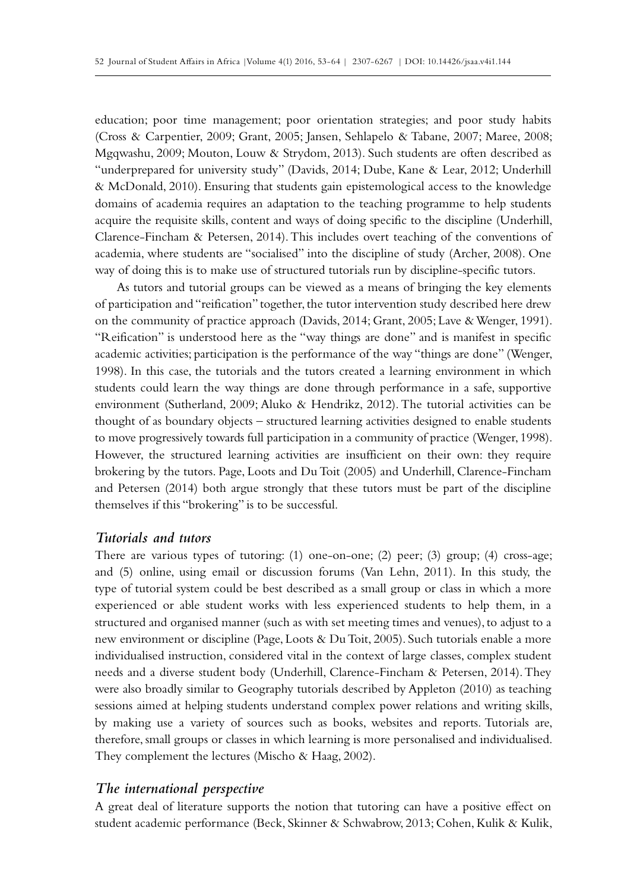education; poor time management; poor orientation strategies; and poor study habits (Cross & Carpentier, 2009; Grant, 2005; Jansen, Sehlapelo & Tabane, 2007; Maree, 2008; Mgqwashu, 2009; Mouton, Louw & Strydom, 2013). Such students are often described as "underprepared for university study" (Davids, 2014; Dube, Kane & Lear, 2012; Underhill & McDonald, 2010). Ensuring that students gain epistemological access to the knowledge domains of academia requires an adaptation to the teaching programme to help students acquire the requisite skills, content and ways of doing specific to the discipline (Underhill, Clarence-Fincham & Petersen, 2014). This includes overt teaching of the conventions of academia, where students are "socialised" into the discipline of study (Archer, 2008). One way of doing this is to make use of structured tutorials run by discipline-specific tutors.

As tutors and tutorial groups can be viewed as a means of bringing the key elements of participation and "reification" together, the tutor intervention study described here drew on the community of practice approach (Davids, 2014; Grant, 2005; Lave & Wenger, 1991). "Reification" is understood here as the "way things are done" and is manifest in specific academic activities; participation is the performance of the way "things are done" (Wenger, 1998). In this case, the tutorials and the tutors created a learning environment in which students could learn the way things are done through performance in a safe, supportive environment (Sutherland, 2009; Aluko & Hendrikz, 2012). The tutorial activities can be thought of as boundary objects – structured learning activities designed to enable students to move progressively towards full participation in a community of practice (Wenger, 1998). However, the structured learning activities are insufficient on their own: they require brokering by the tutors. Page, Loots and Du Toit (2005) and Underhill, Clarence-Fincham and Petersen (2014) both argue strongly that these tutors must be part of the discipline themselves if this "brokering" is to be successful.

#### *Tutorials and tutors*

There are various types of tutoring: (1) one-on-one; (2) peer; (3) group; (4) cross-age; and (5) online, using email or discussion forums (Van Lehn, 2011). In this study, the type of tutorial system could be best described as a small group or class in which a more experienced or able student works with less experienced students to help them, in a structured and organised manner (such as with set meeting times and venues), to adjust to a new environment or discipline (Page, Loots & Du Toit, 2005). Such tutorials enable a more individualised instruction, considered vital in the context of large classes, complex student needs and a diverse student body (Underhill, Clarence-Fincham & Petersen, 2014). They were also broadly similar to Geography tutorials described by Appleton (2010) as teaching sessions aimed at helping students understand complex power relations and writing skills, by making use a variety of sources such as books, websites and reports. Tutorials are, therefore, small groups or classes in which learning is more personalised and individualised. They complement the lectures (Mischo & Haag, 2002).

#### *The international perspective*

A great deal of literature supports the notion that tutoring can have a positive effect on student academic performance (Beck, Skinner & Schwabrow, 2013; Cohen, Kulik & Kulik,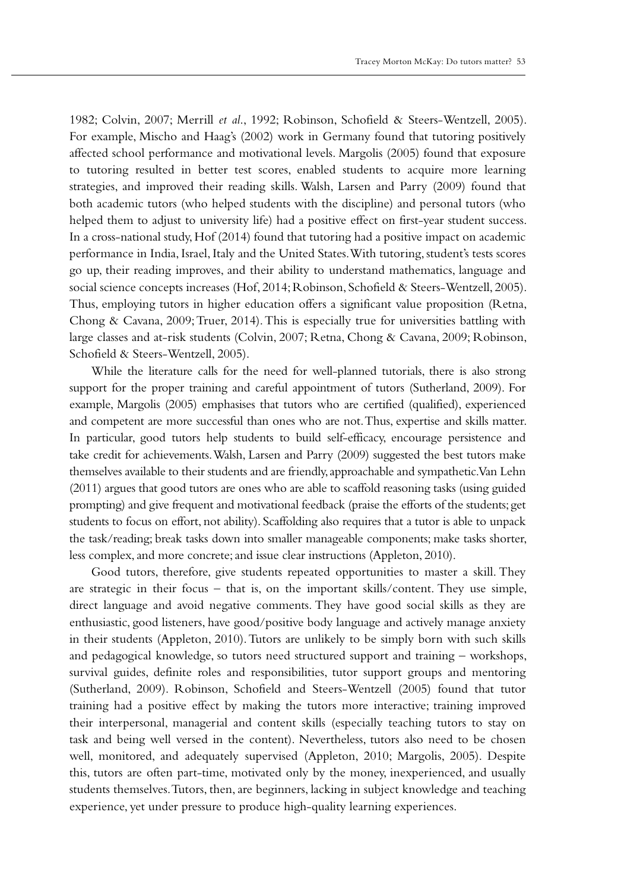1982; Colvin, 2007; Merrill *et al*., 1992; Robinson, Schofield & Steers-Wentzell, 2005). For example, Mischo and Haag's (2002) work in Germany found that tutoring positively affected school performance and motivational levels. Margolis (2005) found that exposure to tutoring resulted in better test scores, enabled students to acquire more learning strategies, and improved their reading skills. Walsh, Larsen and Parry (2009) found that both academic tutors (who helped students with the discipline) and personal tutors (who helped them to adjust to university life) had a positive effect on first-year student success. In a cross-national study, Hof (2014) found that tutoring had a positive impact on academic performance in India, Israel, Italy and the United States. With tutoring, student's tests scores go up, their reading improves, and their ability to understand mathematics, language and social science concepts increases (Hof, 2014; Robinson, Schofield & Steers-Wentzell, 2005). Thus, employing tutors in higher education offers a significant value proposition (Retna, Chong & Cavana, 2009; Truer, 2014). This is especially true for universities battling with large classes and at-risk students (Colvin, 2007; Retna, Chong & Cavana, 2009; Robinson, Schofield & Steers-Wentzell, 2005).

While the literature calls for the need for well-planned tutorials, there is also strong support for the proper training and careful appointment of tutors (Sutherland, 2009). For example, Margolis (2005) emphasises that tutors who are certified (qualified), experienced and competent are more successful than ones who are not. Thus, expertise and skills matter. In particular, good tutors help students to build self-efficacy, encourage persistence and take credit for achievements. Walsh, Larsen and Parry (2009) suggested the best tutors make themselves available to their students and are friendly, approachable and sympathetic. Van Lehn (2011) argues that good tutors are ones who are able to scaffold reasoning tasks (using guided prompting) and give frequent and motivational feedback (praise the efforts of the students; get students to focus on effort, not ability). Scaffolding also requires that a tutor is able to unpack the task/reading; break tasks down into smaller manageable components; make tasks shorter, less complex, and more concrete; and issue clear instructions (Appleton, 2010).

Good tutors, therefore, give students repeated opportunities to master a skill. They are strategic in their focus – that is, on the important skills/content. They use simple, direct language and avoid negative comments. They have good social skills as they are enthusiastic, good listeners, have good/positive body language and actively manage anxiety in their students (Appleton, 2010). Tutors are unlikely to be simply born with such skills and pedagogical knowledge, so tutors need structured support and training – workshops, survival guides, definite roles and responsibilities, tutor support groups and mentoring (Sutherland, 2009). Robinson, Schofield and Steers-Wentzell (2005) found that tutor training had a positive effect by making the tutors more interactive; training improved their interpersonal, managerial and content skills (especially teaching tutors to stay on task and being well versed in the content). Nevertheless, tutors also need to be chosen well, monitored, and adequately supervised (Appleton, 2010; Margolis, 2005). Despite this, tutors are often part-time, motivated only by the money, inexperienced, and usually students themselves. Tutors, then, are beginners, lacking in subject knowledge and teaching experience, yet under pressure to produce high-quality learning experiences.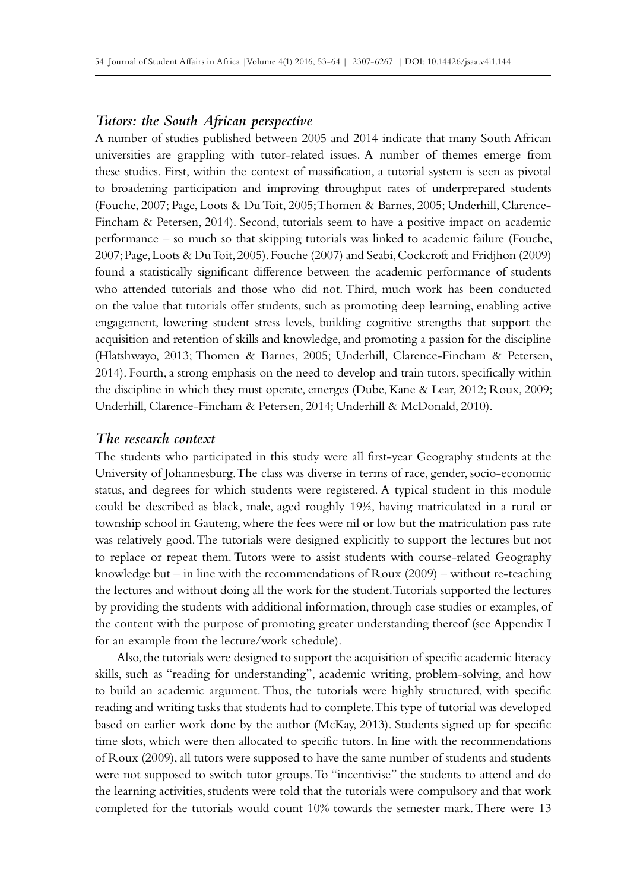## *Tutors: the South African perspective*

A number of studies published between 2005 and 2014 indicate that many South African universities are grappling with tutor-related issues. A number of themes emerge from these studies. First, within the context of massification, a tutorial system is seen as pivotal to broadening participation and improving throughput rates of underprepared students (Fouche, 2007; Page, Loots & Du Toit, 2005; Thomen & Barnes, 2005; Underhill, Clarence-Fincham & Petersen, 2014). Second, tutorials seem to have a positive impact on academic performance – so much so that skipping tutorials was linked to academic failure (Fouche, 2007; Page, Loots & Du Toit, 2005). Fouche (2007) and Seabi, Cockcroft and Fridjhon (2009) found a statistically significant difference between the academic performance of students who attended tutorials and those who did not. Third, much work has been conducted on the value that tutorials offer students, such as promoting deep learning, enabling active engagement, lowering student stress levels, building cognitive strengths that support the acquisition and retention of skills and knowledge, and promoting a passion for the discipline (Hlatshwayo, 2013; Thomen & Barnes, 2005; Underhill, Clarence-Fincham & Petersen, 2014). Fourth, a strong emphasis on the need to develop and train tutors, specifically within the discipline in which they must operate, emerges (Dube, Kane & Lear, 2012; Roux, 2009; Underhill, Clarence-Fincham & Petersen, 2014; Underhill & McDonald, 2010).

## *The research context*

The students who participated in this study were all first-year Geography students at the University of Johannesburg. The class was diverse in terms of race, gender, socio-economic status, and degrees for which students were registered. A typical student in this module could be described as black, male, aged roughly 19½, having matriculated in a rural or township school in Gauteng, where the fees were nil or low but the matriculation pass rate was relatively good. The tutorials were designed explicitly to support the lectures but not to replace or repeat them. Tutors were to assist students with course-related Geography knowledge but – in line with the recommendations of Roux (2009) – without re-teaching the lectures and without doing all the work for the student. Tutorials supported the lectures by providing the students with additional information, through case studies or examples, of the content with the purpose of promoting greater understanding thereof (see Appendix I for an example from the lecture/work schedule).

Also, the tutorials were designed to support the acquisition of specific academic literacy skills, such as "reading for understanding", academic writing, problem-solving, and how to build an academic argument. Thus, the tutorials were highly structured, with specific reading and writing tasks that students had to complete. This type of tutorial was developed based on earlier work done by the author (McKay, 2013). Students signed up for specific time slots, which were then allocated to specific tutors. In line with the recommendations of Roux (2009), all tutors were supposed to have the same number of students and students were not supposed to switch tutor groups. To "incentivise" the students to attend and do the learning activities, students were told that the tutorials were compulsory and that work completed for the tutorials would count 10% towards the semester mark. There were 13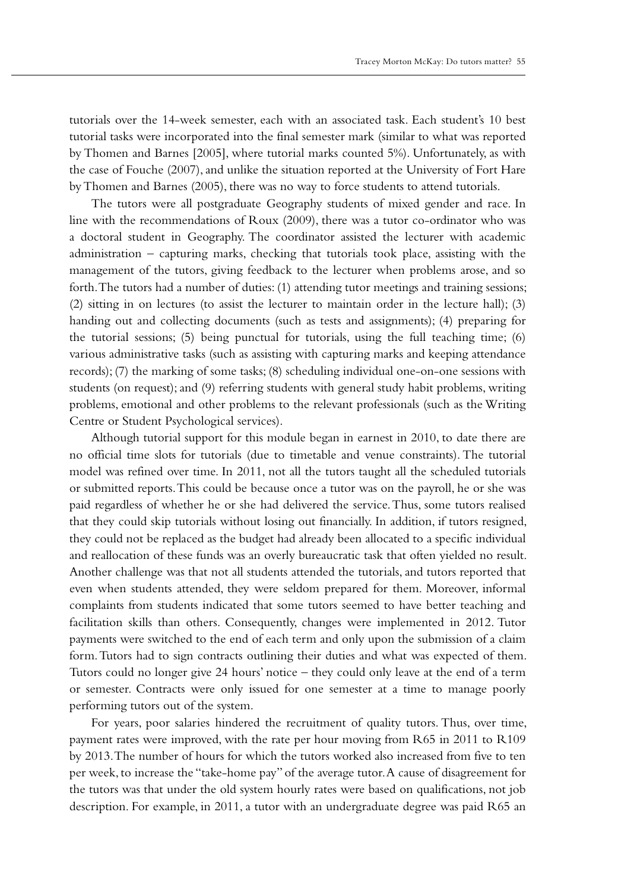tutorials over the 14-week semester, each with an associated task. Each student's 10 best tutorial tasks were incorporated into the final semester mark (similar to what was reported by Thomen and Barnes [2005], where tutorial marks counted 5%). Unfortunately, as with the case of Fouche (2007), and unlike the situation reported at the University of Fort Hare by Thomen and Barnes (2005), there was no way to force students to attend tutorials.

The tutors were all postgraduate Geography students of mixed gender and race. In line with the recommendations of Roux (2009), there was a tutor co-ordinator who was a doctoral student in Geography. The coordinator assisted the lecturer with academic administration – capturing marks, checking that tutorials took place, assisting with the management of the tutors, giving feedback to the lecturer when problems arose, and so forth. The tutors had a number of duties: (1) attending tutor meetings and training sessions; (2) sitting in on lectures (to assist the lecturer to maintain order in the lecture hall); (3) handing out and collecting documents (such as tests and assignments); (4) preparing for the tutorial sessions; (5) being punctual for tutorials, using the full teaching time; (6) various administrative tasks (such as assisting with capturing marks and keeping attendance records); (7) the marking of some tasks; (8) scheduling individual one-on-one sessions with students (on request); and (9) referring students with general study habit problems, writing problems, emotional and other problems to the relevant professionals (such as the Writing Centre or Student Psychological services).

Although tutorial support for this module began in earnest in 2010, to date there are no official time slots for tutorials (due to timetable and venue constraints). The tutorial model was refined over time. In 2011, not all the tutors taught all the scheduled tutorials or submitted reports. This could be because once a tutor was on the payroll, he or she was paid regardless of whether he or she had delivered the service. Thus, some tutors realised that they could skip tutorials without losing out financially. In addition, if tutors resigned, they could not be replaced as the budget had already been allocated to a specific individual and reallocation of these funds was an overly bureaucratic task that often yielded no result. Another challenge was that not all students attended the tutorials, and tutors reported that even when students attended, they were seldom prepared for them. Moreover, informal complaints from students indicated that some tutors seemed to have better teaching and facilitation skills than others. Consequently, changes were implemented in 2012. Tutor payments were switched to the end of each term and only upon the submission of a claim form. Tutors had to sign contracts outlining their duties and what was expected of them. Tutors could no longer give 24 hours' notice – they could only leave at the end of a term or semester. Contracts were only issued for one semester at a time to manage poorly performing tutors out of the system.

For years, poor salaries hindered the recruitment of quality tutors. Thus, over time, payment rates were improved, with the rate per hour moving from R65 in 2011 to R109 by 2013. The number of hours for which the tutors worked also increased from five to ten per week, to increase the "take-home pay" of the average tutor. A cause of disagreement for the tutors was that under the old system hourly rates were based on qualifications, not job description. For example, in 2011, a tutor with an undergraduate degree was paid R65 an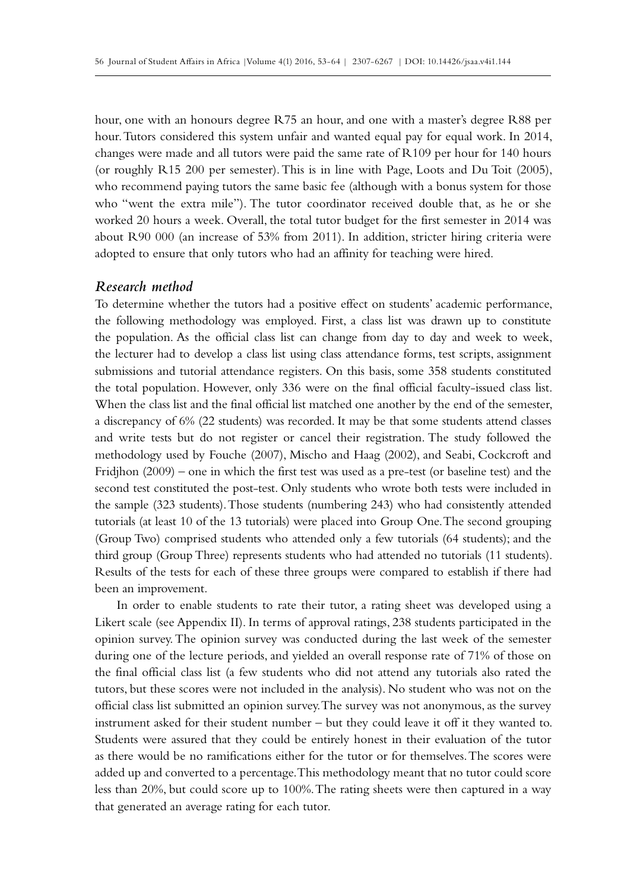hour, one with an honours degree R75 an hour, and one with a master's degree R88 per hour. Tutors considered this system unfair and wanted equal pay for equal work. In 2014, changes were made and all tutors were paid the same rate of R109 per hour for 140 hours (or roughly R15 200 per semester). This is in line with Page, Loots and Du Toit (2005), who recommend paying tutors the same basic fee (although with a bonus system for those who "went the extra mile"). The tutor coordinator received double that, as he or she worked 20 hours a week. Overall, the total tutor budget for the first semester in 2014 was about R90 000 (an increase of 53% from 2011). In addition, stricter hiring criteria were adopted to ensure that only tutors who had an affinity for teaching were hired.

## *Research method*

To determine whether the tutors had a positive effect on students' academic performance, the following methodology was employed. First, a class list was drawn up to constitute the population. As the official class list can change from day to day and week to week, the lecturer had to develop a class list using class attendance forms, test scripts, assignment submissions and tutorial attendance registers. On this basis, some 358 students constituted the total population. However, only 336 were on the final official faculty-issued class list. When the class list and the final official list matched one another by the end of the semester, a discrepancy of 6% (22 students) was recorded. It may be that some students attend classes and write tests but do not register or cancel their registration. The study followed the methodology used by Fouche (2007), Mischo and Haag (2002), and Seabi, Cockcroft and Fridjhon (2009) – one in which the first test was used as a pre-test (or baseline test) and the second test constituted the post-test. Only students who wrote both tests were included in the sample (323 students). Those students (numbering 243) who had consistently attended tutorials (at least 10 of the 13 tutorials) were placed into Group One. The second grouping (Group Two) comprised students who attended only a few tutorials (64 students); and the third group (Group Three) represents students who had attended no tutorials (11 students). Results of the tests for each of these three groups were compared to establish if there had been an improvement.

In order to enable students to rate their tutor, a rating sheet was developed using a Likert scale (see Appendix II). In terms of approval ratings, 238 students participated in the opinion survey. The opinion survey was conducted during the last week of the semester during one of the lecture periods, and yielded an overall response rate of 71% of those on the final official class list (a few students who did not attend any tutorials also rated the tutors, but these scores were not included in the analysis). No student who was not on the official class list submitted an opinion survey. The survey was not anonymous, as the survey instrument asked for their student number – but they could leave it off it they wanted to. Students were assured that they could be entirely honest in their evaluation of the tutor as there would be no ramifications either for the tutor or for themselves. The scores were added up and converted to a percentage. This methodology meant that no tutor could score less than 20%, but could score up to 100%. The rating sheets were then captured in a way that generated an average rating for each tutor.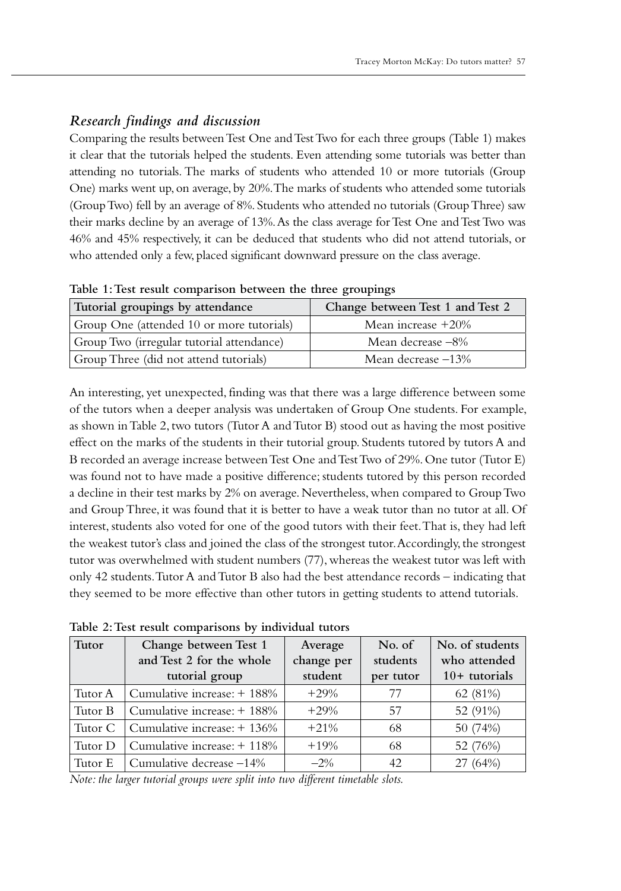# *Research findings and discussion*

Comparing the results between Test One and Test Two for each three groups (Table 1) makes it clear that the tutorials helped the students. Even attending some tutorials was better than attending no tutorials. The marks of students who attended 10 or more tutorials (Group One) marks went up, on average, by 20%. The marks of students who attended some tutorials (Group Two) fell by an average of 8%. Students who attended no tutorials (Group Three) saw their marks decline by an average of 13%. As the class average for Test One and Test Two was 46% and 45% respectively, it can be deduced that students who did not attend tutorials, or who attended only a few, placed significant downward pressure on the class average.

**Table 1: Test result comparison between the three groupings**

| Tutorial groupings by attendance          | Change between Test 1 and Test 2 |  |  |
|-------------------------------------------|----------------------------------|--|--|
| Group One (attended 10 or more tutorials) | Mean increase $+20\%$            |  |  |
| Group Two (irregular tutorial attendance) | Mean decrease -8%                |  |  |
| Group Three (did not attend tutorials)    | Mean decrease $-13\%$            |  |  |

An interesting, yet unexpected, finding was that there was a large difference between some of the tutors when a deeper analysis was undertaken of Group One students. For example, as shown in Table 2, two tutors (Tutor A and Tutor B) stood out as having the most positive effect on the marks of the students in their tutorial group. Students tutored by tutors A and B recorded an average increase between Test One and Test Two of 29%. One tutor (Tutor E) was found not to have made a positive difference; students tutored by this person recorded a decline in their test marks by 2% on average. Nevertheless, when compared to Group Two and Group Three, it was found that it is better to have a weak tutor than no tutor at all. Of interest, students also voted for one of the good tutors with their feet. That is, they had left the weakest tutor's class and joined the class of the strongest tutor. Accordingly, the strongest tutor was overwhelmed with student numbers (77), whereas the weakest tutor was left with only 42 students. Tutor A and Tutor B also had the best attendance records – indicating that they seemed to be more effective than other tutors in getting students to attend tutorials.

| Tutor   | Change between Test 1          | Average    | No. of    | No. of students |  |
|---------|--------------------------------|------------|-----------|-----------------|--|
|         | and Test 2 for the whole       | change per | students  | who attended    |  |
|         | tutorial group                 | student    | per tutor | $10+$ tutorials |  |
| Tutor A | Cumulative increase: + 188%    | $+29%$     | 77        | 62 (81%)        |  |
| Tutor B | Cumulative increase: + 188%    | $+29%$     | 57        | 52 (91%)        |  |
| Tutor C | Cumulative increase: $+ 136\%$ | $+21%$     | 68        | 50 (74%)        |  |
| Tutor D | Cumulative increase: $+$ 118%  | $+19%$     | 68        | 52 (76%)        |  |
| Tutor E | Cumulative decrease -14%       | $-2\%$     | 42        | 27 (64%)        |  |

**Table 2: Test result comparisons by individual tutors** 

*Note: the larger tutorial groups were split into two different timetable slots.*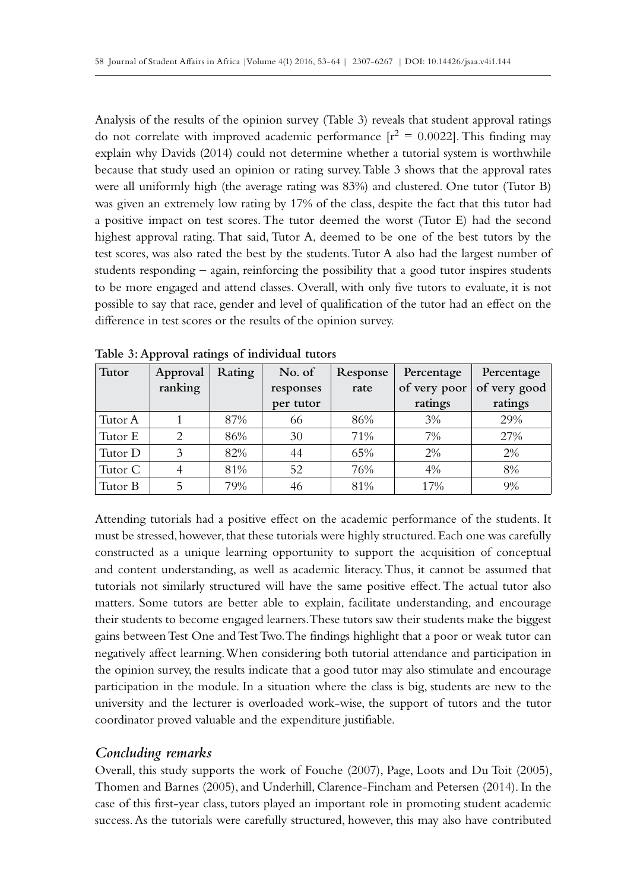Analysis of the results of the opinion survey (Table 3) reveals that student approval ratings do not correlate with improved academic performance  $[r^2 = 0.0022]$ . This finding may explain why Davids (2014) could not determine whether a tutorial system is worthwhile because that study used an opinion or rating survey. Table 3 shows that the approval rates were all uniformly high (the average rating was 83%) and clustered. One tutor (Tutor B) was given an extremely low rating by 17% of the class, despite the fact that this tutor had a positive impact on test scores. The tutor deemed the worst (Tutor E) had the second highest approval rating. That said, Tutor A, deemed to be one of the best tutors by the test scores, was also rated the best by the students. Tutor A also had the largest number of students responding – again, reinforcing the possibility that a good tutor inspires students to be more engaged and attend classes. Overall, with only five tutors to evaluate, it is not possible to say that race, gender and level of qualification of the tutor had an effect on the difference in test scores or the results of the opinion survey.

| Tutor   | Approval | Rating | No. of    | Response | Percentage   | Percentage   |  |
|---------|----------|--------|-----------|----------|--------------|--------------|--|
|         | ranking  |        | responses | rate     | of very poor | of very good |  |
|         |          |        | per tutor |          | ratings      | ratings      |  |
| Tutor A |          | 87%    | 66        | 86%      | 3%           | 29%          |  |
| Tutor E | 2        | 86%    | 30        | 71%      | 7%           | 27%          |  |
| Tutor D |          | 82%    | 44        | 65%      | 2%           | 2%           |  |
| Tutor C |          | 81%    | 52        | 76%      | 4%           | 8%           |  |
| Tutor B | 5        | 79%    | 46        | 81%      | 17%          | 9%           |  |

**Table 3: Approval ratings of individual tutors** 

Attending tutorials had a positive effect on the academic performance of the students. It must be stressed, however, that these tutorials were highly structured. Each one was carefully constructed as a unique learning opportunity to support the acquisition of conceptual and content understanding, as well as academic literacy. Thus, it cannot be assumed that tutorials not similarly structured will have the same positive effect. The actual tutor also matters. Some tutors are better able to explain, facilitate understanding, and encourage their students to become engaged learners. These tutors saw their students make the biggest gains between Test One and Test Two. The findings highlight that a poor or weak tutor can negatively affect learning. When considering both tutorial attendance and participation in the opinion survey, the results indicate that a good tutor may also stimulate and encourage participation in the module. In a situation where the class is big, students are new to the university and the lecturer is overloaded work-wise, the support of tutors and the tutor coordinator proved valuable and the expenditure justifiable.

## *Concluding remarks*

Overall, this study supports the work of Fouche (2007), Page, Loots and Du Toit (2005), Thomen and Barnes (2005), and Underhill, Clarence-Fincham and Petersen (2014). In the case of this first-year class, tutors played an important role in promoting student academic success. As the tutorials were carefully structured, however, this may also have contributed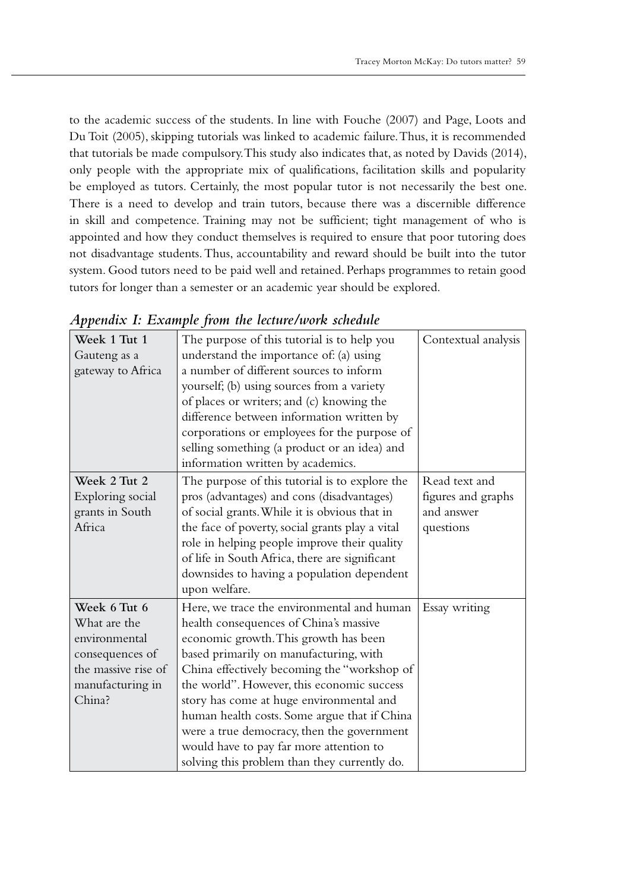to the academic success of the students. In line with Fouche (2007) and Page, Loots and Du Toit (2005), skipping tutorials was linked to academic failure. Thus, it is recommended that tutorials be made compulsory. This study also indicates that, as noted by Davids (2014), only people with the appropriate mix of qualifications, facilitation skills and popularity be employed as tutors. Certainly, the most popular tutor is not necessarily the best one. There is a need to develop and train tutors, because there was a discernible difference in skill and competence. Training may not be sufficient; tight management of who is appointed and how they conduct themselves is required to ensure that poor tutoring does not disadvantage students. Thus, accountability and reward should be built into the tutor system. Good tutors need to be paid well and retained. Perhaps programmes to retain good tutors for longer than a semester or an academic year should be explored.

| Week 1 Tut 1        | The purpose of this tutorial is to help you     | Contextual analysis |
|---------------------|-------------------------------------------------|---------------------|
| Gauteng as a        | understand the importance of: (a) using         |                     |
| gateway to Africa   | a number of different sources to inform         |                     |
|                     | yourself; (b) using sources from a variety      |                     |
|                     | of places or writers; and (c) knowing the       |                     |
|                     | difference between information written by       |                     |
|                     | corporations or employees for the purpose of    |                     |
|                     | selling something (a product or an idea) and    |                     |
|                     | information written by academics.               |                     |
| Week 2 Tut 2        | The purpose of this tutorial is to explore the  | Read text and       |
| Exploring social    | pros (advantages) and cons (disadvantages)      | figures and graphs  |
| grants in South     | of social grants. While it is obvious that in   | and answer          |
| Africa              | the face of poverty, social grants play a vital | questions           |
|                     | role in helping people improve their quality    |                     |
|                     | of life in South Africa, there are significant  |                     |
|                     | downsides to having a population dependent      |                     |
|                     | upon welfare.                                   |                     |
| Week 6 Tut 6        | Here, we trace the environmental and human      | Essay writing       |
| What are the        | health consequences of China's massive          |                     |
| environmental       | economic growth. This growth has been           |                     |
| consequences of     | based primarily on manufacturing, with          |                     |
| the massive rise of | China effectively becoming the "workshop of     |                     |
| manufacturing in    | the world". However, this economic success      |                     |
| China?              | story has come at huge environmental and        |                     |
|                     | human health costs. Some argue that if China    |                     |
|                     | were a true democracy, then the government      |                     |
|                     | would have to pay far more attention to         |                     |
|                     | solving this problem than they currently do.    |                     |

*Appendix I: Example from the lecture/work schedule*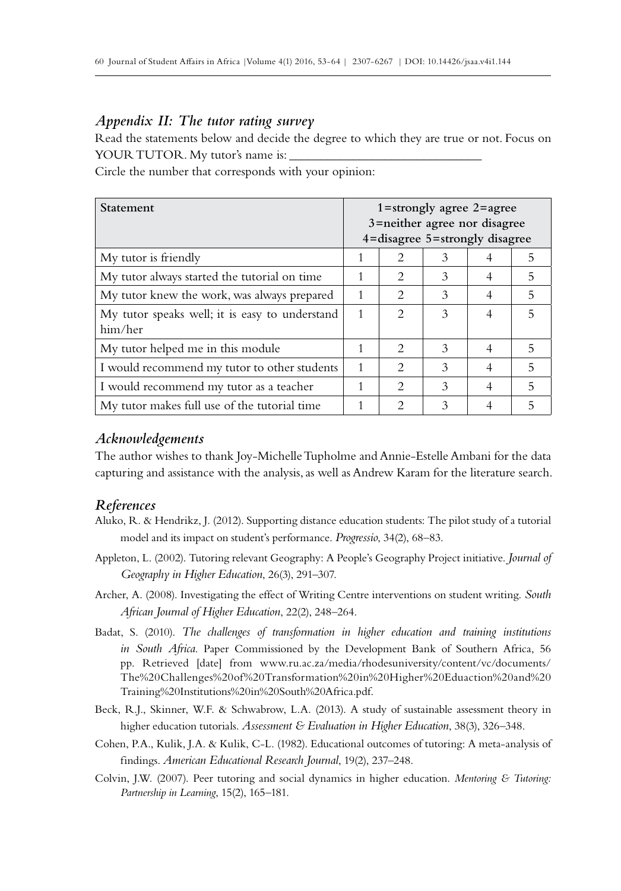#### *Appendix II: The tutor rating survey*

Read the statements below and decide the degree to which they are true or not. Focus on YOUR TUTOR. My tutor's name is:

Circle the number that corresponds with your opinion:

| <b>Statement</b>                                          | $1 =$ strongly agree $2 =$ agree<br>3=neither agree nor disagree<br>4=disagree 5=strongly disagree |                               |   |   |   |
|-----------------------------------------------------------|----------------------------------------------------------------------------------------------------|-------------------------------|---|---|---|
| My tutor is friendly                                      |                                                                                                    | $\mathcal{D}_{\mathcal{L}}$   | 3 |   | 5 |
| My tutor always started the tutorial on time              | 1                                                                                                  | $\mathfrak{D}_{\mathfrak{p}}$ | 3 |   | 5 |
| My tutor knew the work, was always prepared               | 1                                                                                                  | $\mathcal{L}$                 | 3 | 4 | 5 |
| My tutor speaks well; it is easy to understand<br>him/her | 1                                                                                                  | $\mathcal{D}_{\mathcal{L}}$   | 3 | 4 | 5 |
| My tutor helped me in this module                         | 1                                                                                                  | $\mathcal{D}_{\mathcal{L}}$   | 3 | 4 | 5 |
| I would recommend my tutor to other students              | 1                                                                                                  | $\mathcal{L}$                 | 3 | 4 | 5 |
| I would recommend my tutor as a teacher                   |                                                                                                    | $\mathcal{D}_{\mathcal{L}}$   | 3 | 4 | 5 |
| My tutor makes full use of the tutorial time              |                                                                                                    | $\mathcal{D}_{\mathcal{A}}$   | 3 |   | 5 |

## *Acknowledgements*

The author wishes to thank Joy-Michelle Tupholme and Annie-Estelle Ambani for the data capturing and assistance with the analysis, as well as Andrew Karam for the literature search.

#### *References*

- Aluko, R. & Hendrikz, J. (2012). Supporting distance education students: The pilot study of a tutorial model and its impact on student's performance. *Progressio*, 34(2), 68–83.
- Appleton, L. (2002). Tutoring relevant Geography: A People's Geography Project initiative. *Journal of Geography in Higher Education*, 26(3), 291–307.
- Archer, A. (2008). Investigating the effect of Writing Centre interventions on student writing. *South African Journal of Higher Education*, 22(2), 248–264.
- Badat, S. (2010). *The challenges of transformation in higher education and training institutions in South Africa*. Paper Commissioned by the Development Bank of Southern Africa, 56 pp. Retrieved [date] from www.ru.ac.za/media/rhodesuniversity/content/vc/documents/ The%20Challenges%20of%20Transformation%20in%20Higher%20Eduaction%20and%20 Training%20Institutions%20in%20South%20Africa.pdf.
- Beck, R.J., Skinner, W.F. & Schwabrow, L.A. (2013). A study of sustainable assessment theory in higher education tutorials. *Assessment & Evaluation in Higher Education*, 38(3), 326–348.
- Cohen, P.A., Kulik, J.A. & Kulik, C-L. (1982). Educational outcomes of tutoring: A meta-analysis of findings. *American Educational Research Journal*, 19(2), 237–248.
- Colvin, J.W. (2007). Peer tutoring and social dynamics in higher education. *Mentoring & Tutoring: Partnership in Learning*, 15(2), 165–181.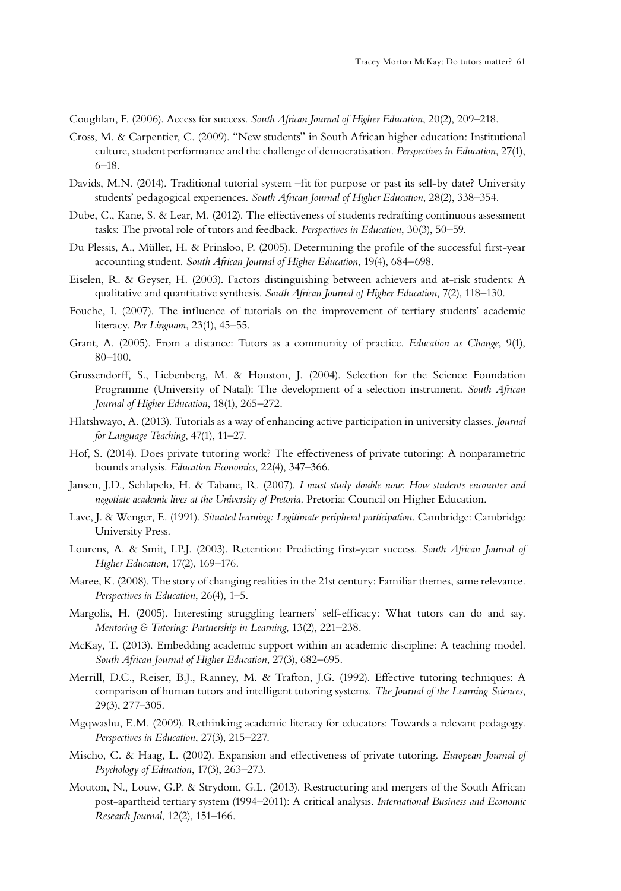Coughlan, F. (2006). Access for success. *South African Journal of Higher Education*, 20(2), 209–218.

- Cross, M. & Carpentier, C. (2009). "New students" in South African higher education: Institutional culture, student performance and the challenge of democratisation. *Perspectives in Education*, 27(1), 6–18.
- Davids, M.N. (2014). Traditional tutorial system –fit for purpose or past its sell-by date? University students' pedagogical experiences. *South African Journal of Higher Education*, 28(2), 338–354.
- Dube, C., Kane, S. & Lear, M. (2012). The effectiveness of students redrafting continuous assessment tasks: The pivotal role of tutors and feedback. *Perspectives in Education*, 30(3), 50–59.
- Du Plessis, A., Müller, H. & Prinsloo, P. (2005). Determining the profile of the successful first-year accounting student. *South African Journal of Higher Education*, 19(4), 684–698.
- Eiselen, R. & Geyser, H. (2003). Factors distinguishing between achievers and at-risk students: A qualitative and quantitative synthesis. *South African Journal of Higher Education*, 7(2), 118–130.
- Fouche, I. (2007). The influence of tutorials on the improvement of tertiary students' academic literacy. *Per Linguam*, 23(1), 45–55.
- Grant, A. (2005). From a distance: Tutors as a community of practice. *Education as Change*, 9(1), 80–100.
- Grussendorff, S., Liebenberg, M. & Houston, J. (2004). Selection for the Science Foundation Programme (University of Natal): The development of a selection instrument. *South African Journal of Higher Education*, 18(1), 265–272.
- Hlatshwayo, A. (2013). Tutorials as a way of enhancing active participation in university classes. *Journal for Language Teaching*, 47(1), 11–27.
- Hof, S. (2014). Does private tutoring work? The effectiveness of private tutoring: A nonparametric bounds analysis. *Education Economics*, 22(4), 347–366.
- Jansen, J.D., Sehlapelo, H. & Tabane, R. (2007). *I must study double now: How students encounter and negotiate academic lives at the University of Pretoria*. Pretoria: Council on Higher Education.
- Lave, J. & Wenger, E. (1991). *Situated learning: Legitimate peripheral participation*. Cambridge: Cambridge University Press.
- Lourens, A. & Smit, I.P.J. (2003). Retention: Predicting first-year success. *South African Journal of Higher Education*, 17(2), 169–176.
- Maree, K. (2008). The story of changing realities in the 21st century: Familiar themes, same relevance. *Perspectives in Education*, 26(4), 1–5.
- Margolis, H. (2005). Interesting struggling learners' self-efficacy: What tutors can do and say. *Mentoring & Tutoring: Partnership in Learning*, 13(2), 221–238.
- McKay, T. (2013). Embedding academic support within an academic discipline: A teaching model. *South African Journal of Higher Education*, 27(3), 682–695.
- Merrill, D.C., Reiser, B.J., Ranney, M. & Trafton, J.G. (1992). Effective tutoring techniques: A comparison of human tutors and intelligent tutoring systems. *The Journal of the Learning Sciences*, 29(3), 277–305.
- Mgqwashu, E.M. (2009). Rethinking academic literacy for educators: Towards a relevant pedagogy. *Perspectives in Education*, 27(3), 215–227.
- Mischo, C. & Haag, L. (2002). Expansion and effectiveness of private tutoring. *European Journal of Psychology of Education*, 17(3), 263–273.
- Mouton, N., Louw, G.P. & Strydom, G.L. (2013). Restructuring and mergers of the South African post-apartheid tertiary system (1994–2011): A critical analysis. *International Business and Economic Research Journal*, 12(2), 151–166.